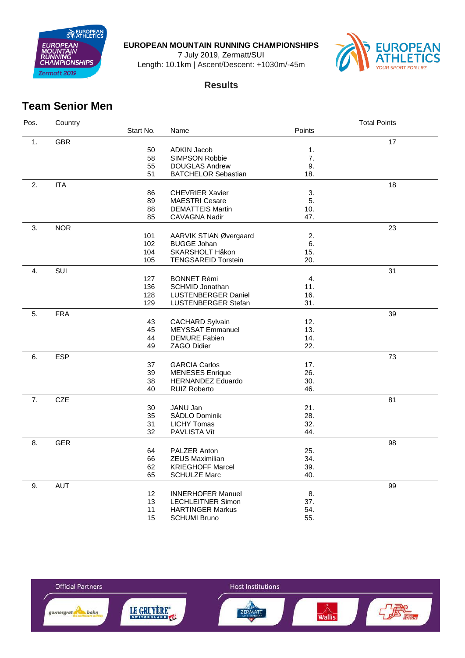

**EUROPEAN MOUNTAIN RUNNING CHAMPIONSHIPS**

July 2019, Zermatt/SUI

Length: 10.1km | Ascent/Descent: +1030m/-45m



## **Results**

## **Team Senior Men**

| Pos. | Country    |           |                            |        | <b>Total Points</b> |
|------|------------|-----------|----------------------------|--------|---------------------|
|      |            | Start No. | Name                       | Points |                     |
| 1.   | <b>GBR</b> |           |                            |        | 17                  |
|      |            | 50        | <b>ADKIN Jacob</b>         | 1.     |                     |
|      |            | 58        | SIMPSON Robbie             | 7.     |                     |
|      |            | 55        | <b>DOUGLAS Andrew</b>      | 9.     |                     |
|      |            | 51        | <b>BATCHELOR Sebastian</b> | 18.    |                     |
|      |            |           |                            |        |                     |
| 2.   | <b>ITA</b> |           |                            |        | 18                  |
|      |            | 86        | <b>CHEVRIER Xavier</b>     | 3.     |                     |
|      |            | 89        | <b>MAESTRI Cesare</b>      | 5.     |                     |
|      |            | 88        | <b>DEMATTEIS Martin</b>    | 10.    |                     |
|      |            | 85        | <b>CAVAGNA Nadir</b>       | 47.    |                     |
| 3.   | <b>NOR</b> |           |                            |        | 23                  |
|      |            | 101       | AARVIK STIAN Øvergaard     | 2.     |                     |
|      |            | 102       | <b>BUGGE Johan</b>         | 6.     |                     |
|      |            | 104       | SKARSHOLT Håkon            | 15.    |                     |
|      |            | 105       | <b>TENGSAREID Torstein</b> | 20.    |                     |
| 4.   | SUI        |           |                            |        | 31                  |
|      |            | 127       | <b>BONNET Rémi</b>         | 4.     |                     |
|      |            | 136       | <b>SCHMID Jonathan</b>     | 11.    |                     |
|      |            | 128       | <b>LUSTENBERGER Daniel</b> | 16.    |                     |
|      |            | 129       | <b>LUSTENBERGER Stefan</b> | 31.    |                     |
|      |            |           |                            |        |                     |
| 5.   | <b>FRA</b> |           |                            |        | 39                  |
|      |            | 43        | <b>CACHARD Sylvain</b>     | 12.    |                     |
|      |            | 45        | <b>MEYSSAT Emmanuel</b>    | 13.    |                     |
|      |            | 44        | <b>DEMURE Fabien</b>       | 14.    |                     |
|      |            | 49        | ZAGO Didier                | 22.    |                     |
| 6.   | <b>ESP</b> |           |                            |        | 73                  |
|      |            | 37        | <b>GARCIA Carlos</b>       | 17.    |                     |
|      |            | 39        | <b>MENESES</b> Enrique     | 26.    |                     |
|      |            | 38        | <b>HERNANDEZ Eduardo</b>   | 30.    |                     |
|      |            | 40        | <b>RUIZ Roberto</b>        | 46.    |                     |
| 7.   | CZE        |           |                            |        | 81                  |
|      |            | 30        | JANU Jan                   | 21.    |                     |
|      |            | 35        | SÁDLO Dominik              | 28.    |                     |
|      |            | 31        | <b>LICHY Tomas</b>         | 32.    |                     |
|      |            | 32        | PAVLISTA Vít               | 44.    |                     |
|      |            |           |                            |        |                     |
| 8.   | <b>GER</b> |           |                            |        | 98                  |
|      |            | 64        | PALZER Anton               | 25.    |                     |
|      |            | 66        | <b>ZEUS Maximilian</b>     | 34.    |                     |
|      |            | 62        | <b>KRIEGHOFF Marcel</b>    | 39.    |                     |
|      |            | 65        | <b>SCHULZE Marc</b>        | 40.    |                     |
| 9.   | <b>AUT</b> |           |                            |        | 99                  |
|      |            | 12        | <b>INNERHOFER Manuel</b>   | 8.     |                     |
|      |            | 13        | <b>LECHLEITNER Simon</b>   | 37.    |                     |
|      |            | 11        | <b>HARTINGER Markus</b>    | 54.    |                     |
|      |            | 15        | <b>SCHUMI Bruno</b>        | 55.    |                     |